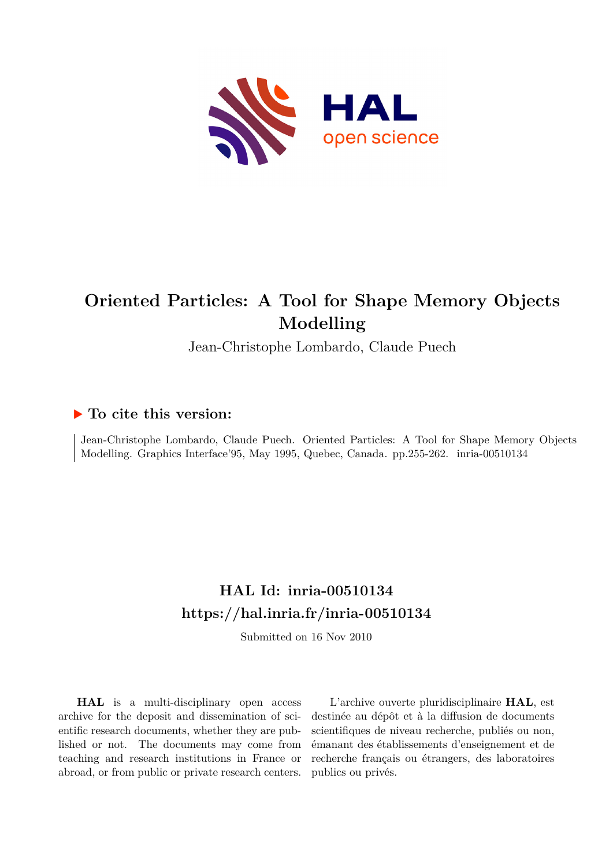

# **Oriented Particles: A Tool for Shape Memory Objects Modelling**

Jean-Christophe Lombardo, Claude Puech

# **To cite this version:**

Jean-Christophe Lombardo, Claude Puech. Oriented Particles: A Tool for Shape Memory Objects Modelling. Graphics Interface'95, May 1995, Quebec, Canada. pp.255-262. inria-00510134

# **HAL Id: inria-00510134 <https://hal.inria.fr/inria-00510134>**

Submitted on 16 Nov 2010

**HAL** is a multi-disciplinary open access archive for the deposit and dissemination of scientific research documents, whether they are published or not. The documents may come from teaching and research institutions in France or abroad, or from public or private research centers.

L'archive ouverte pluridisciplinaire **HAL**, est destinée au dépôt et à la diffusion de documents scientifiques de niveau recherche, publiés ou non, émanant des établissements d'enseignement et de recherche français ou étrangers, des laboratoires publics ou privés.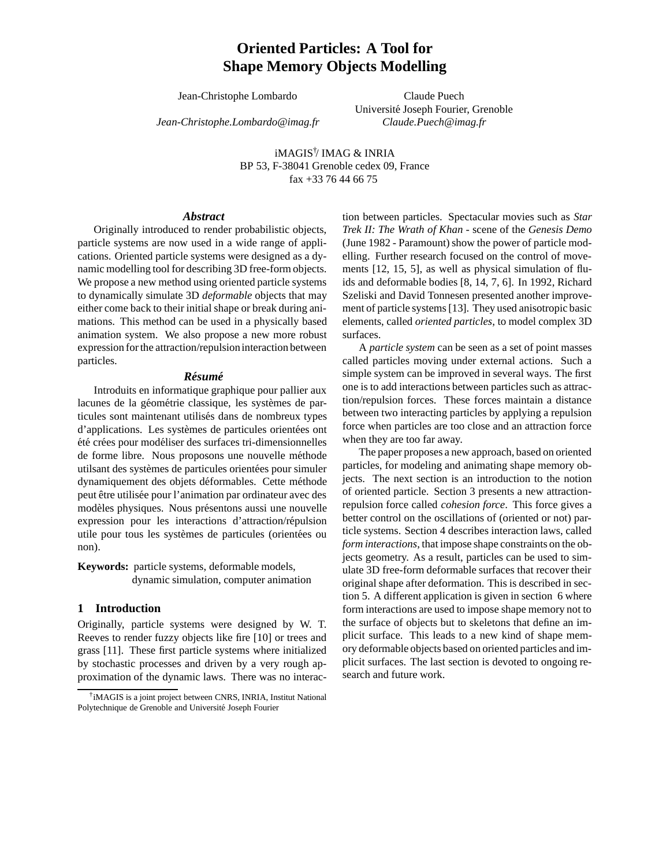# **Oriented Particles: A Tool for Shape Memory Objects Modelling**

Jean-Christophe Lombardo

*Jean-Christophe.Lombardo@imag.fr*

Claude Puech Université Joseph Fourier, Grenoble *Claude.Puech@imag.fr*

iMAGIS† / IMAG & INRIA BP 53, F-38041 Grenoble cedex 09, France fax +33 76 44 66 75

# *Abstract*

Originally introduced to render probabilistic objects, particle systems are now used in a wide range of applications. Oriented particle systems were designed as a dynamic modelling tool for describing 3D free-form objects. We propose a new method using oriented particle systems to dynamically simulate 3D *deformable* objects that may either come back to their initial shape or break during animations. This method can be used in a physically based animation system. We also propose a new more robust expression for the attraction/repulsion interaction between particles.

#### *R´esum´e*

Introduits en informatique graphique pour pallier aux lacunes de la géométrie classique, les systèmes de particules sont maintenant utilisés dans de nombreux types d'applications. Les systèmes de particules orientées ont été crées pour modéliser des surfaces tri-dimensionnelles de forme libre. Nous proposons une nouvelle méthode utilsant des systèmes de particules orientées pour simuler dynamiquement des objets déformables. Cette méthode peut être utilisée pour l'animation par ordinateur avec des modèles physiques. Nous présentons aussi une nouvelle expression pour les interactions d'attraction/répulsion utile pour tous les systèmes de particules (orientées ou non).

**Keywords:** particle systems, deformable models, dynamic simulation, computer animation

# **1 Introduction**

Originally, particle systems were designed by W. T. Reeves to render fuzzy objects like fire [10] or trees and grass [11]. These first particle systems where initialized by stochastic processes and driven by a very rough approximation of the dynamic laws. There was no interaction between particles. Spectacular movies such as *Star Trek II: The Wrath of Khan* - scene of the *Genesis Demo* (June 1982 - Paramount) show the power of particle modelling. Further research focused on the control of movements [12, 15, 5], as well as physical simulation of fluids and deformable bodies [8, 14, 7, 6]. In 1992, Richard Szeliski and David Tonnesen presented another improvement of particle systems [13]. They used anisotropic basic elements, called *oriented particles*, to model complex 3D surfaces.

A *particle system* can be seen as a set of point masses called particles moving under external actions. Such a simple system can be improved in several ways. The first one is to add interactions between particles such as attraction/repulsion forces. These forces maintain a distance between two interacting particles by applying a repulsion force when particles are too close and an attraction force when they are too far away.

The paper proposes a new approach, based on oriented particles, for modeling and animating shape memory objects. The next section is an introduction to the notion of oriented particle. Section 3 presents a new attractionrepulsion force called *cohesion force*. This force gives a better control on the oscillations of (oriented or not) particle systems. Section 4 describes interaction laws, called *form interactions*, that impose shape constraints on the objects geometry. As a result, particles can be used to simulate 3D free-form deformable surfaces that recover their original shape after deformation. This is described in section 5. A different application is given in section 6 where form interactions are used to impose shape memory not to the surface of objects but to skeletons that define an implicit surface. This leads to a new kind of shape memory deformable objects based on oriented particles and implicit surfaces. The last section is devoted to ongoing research and future work.

<sup>†</sup> iMAGIS is a joint project between CNRS, INRIA, Institut National Polytechnique de Grenoble and Université Joseph Fourier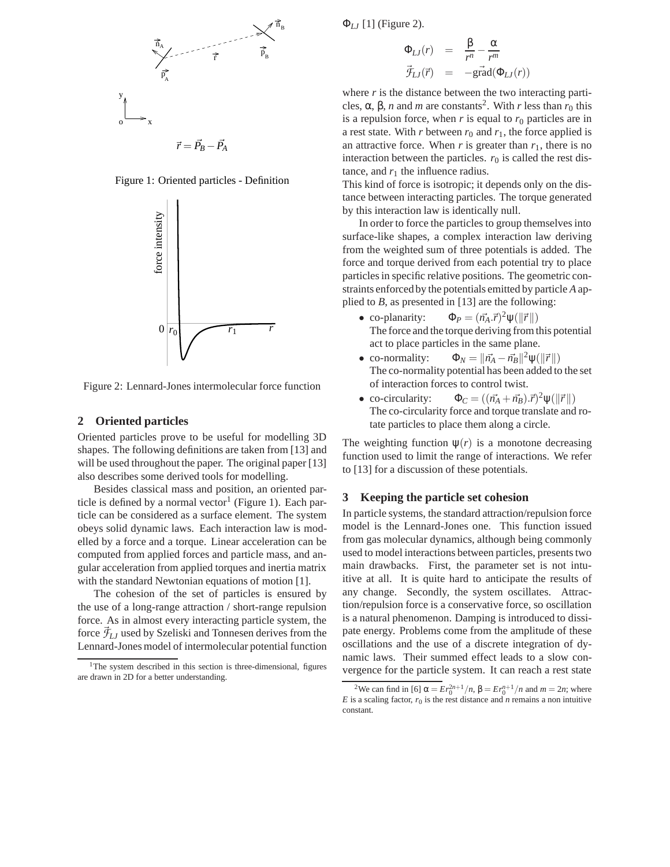

Figure 1: Oriented particles - Definition



Figure 2: Lennard-Jones intermolecular force function

# **2 Oriented particles**

Oriented particles prove to be useful for modelling 3D shapes. The following definitions are taken from [13] and will be used throughout the paper. The original paper [13] also describes some derived tools for modelling.

Besides classical mass and position, an oriented particle is defined by a normal vector<sup>1</sup> (Figure 1). Each particle can be considered as a surface element. The system obeys solid dynamic laws. Each interaction law is modelled by a force and a torque. Linear acceleration can be computed from applied forces and particle mass, and angular acceleration from applied torques and inertia matrix with the standard Newtonian equations of motion [1].

The cohesion of the set of particles is ensured by the use of a long-range attraction / short-range repulsion force. As in almost every interacting particle system, the force  $\bar{f}_{LJ}$  used by Szeliski and Tonnesen derives from the Lennard-Jones model of intermolecular potential function Φ*LJ* [1] (Figure 2).

$$
\Phi_{LJ}(r) = \frac{\beta}{r^n} - \frac{\alpha}{r^m}
$$
  

$$
\vec{\mathcal{F}}_{LJ}(\vec{r}) = -\text{grad}(\Phi_{LJ}(r))
$$

where *r* is the distance between the two interacting particles,  $\alpha$ ,  $\beta$ , *n* and *m* are constants<sup>2</sup>. With *r* less than  $r_0$  this is a repulsion force, when  $r$  is equal to  $r_0$  particles are in a rest state. With *r* between  $r_0$  and  $r_1$ , the force applied is an attractive force. When  $r$  is greater than  $r_1$ , there is no interaction between the particles.  $r_0$  is called the rest distance, and  $r_1$  the influence radius.

This kind of force is isotropic; it depends only on the distance between interacting particles. The torque generated by this interaction law is identically null.

In order to force the particles to group themselves into surface-like shapes, a complex interaction law deriving from the weighted sum of three potentials is added. The force and torque derived from each potential try to place particles in specific relative positions. The geometric constraints enforced by the potentials emitted by particle *A* applied to *B*, as presented in [13] are the following:

- co-planarity:  $\Phi_P = (\vec{n}_A \cdot \vec{r})^2 \Psi(||\vec{r}||)$ The force and the torque deriving from this potential act to place particles in the same plane.
- co-normality:  $\Phi_N = ||\vec{n_A} \vec{n_B}||^2 \psi(||\vec{r}||)$ The co-normality potential has been added to the set of interaction forces to control twist.
- co-circularity:  $\Phi_C = ((\vec{n}_A + \vec{n}_B).\vec{r})^2 \psi(\|\vec{r}\|)$ The co-circularity force and torque translate and rotate particles to place them along a circle.

The weighting function  $\psi(r)$  is a monotone decreasing function used to limit the range of interactions. We refer to [13] for a discussion of these potentials.

#### **3 Keeping the particle set cohesion**

In particle systems, the standard attraction/repulsion force model is the Lennard-Jones one. This function issued from gas molecular dynamics, although being commonly used to model interactions between particles, presents two main drawbacks. First, the parameter set is not intuitive at all. It is quite hard to anticipate the results of any change. Secondly, the system oscillates. Attraction/repulsion force is a conservative force, so oscillation is a natural phenomenon. Damping is introduced to dissipate energy. Problems come from the amplitude of these oscillations and the use of a discrete integration of dynamic laws. Their summed effect leads to a slow convergence for the particle system. It can reach a rest state

<sup>&</sup>lt;sup>1</sup>The system described in this section is three-dimensional, figures are drawn in 2D for a better understanding.

<sup>&</sup>lt;sup>2</sup>We can find in [6]  $\alpha = Er_0^{2n+1}/n$ ,  $\beta = Er_0^{n+1}/n$  and  $m = 2n$ ; where *E* is a scaling factor,  $r_0$  is the rest distance and *n* remains a non intuitive constant.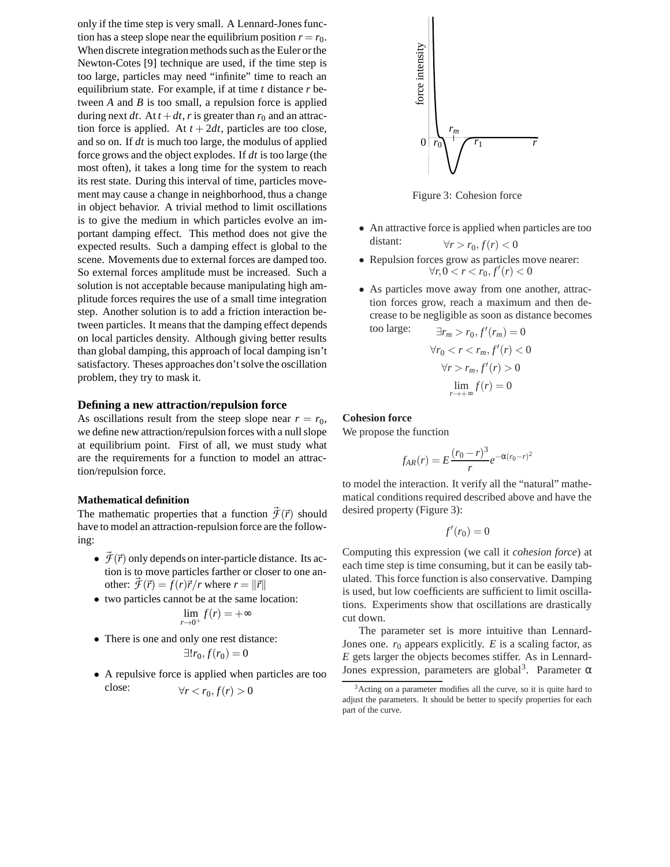only if the time step is very small. A Lennard-Jones function has a steep slope near the equilibrium position  $r = r_0$ . When discrete integration methods such as the Euler or the Newton-Cotes [9] technique are used, if the time step is too large, particles may need "infinite" time to reach an equilibrium state. For example, if at time *t* distance *r* between *A* and *B* is too small, a repulsion force is applied during next *dt*. At  $t + dt$ , *r* is greater than  $r_0$  and an attraction force is applied. At  $t + 2dt$ , particles are too close, and so on. If *dt* is much too large, the modulus of applied force grows and the object explodes. If *dt* is too large (the most often), it takes a long time for the system to reach its rest state. During this interval of time, particles movement may cause a change in neighborhood, thus a change in object behavior. A trivial method to limit oscillations is to give the medium in which particles evolve an important damping effect. This method does not give the expected results. Such a damping effect is global to the scene. Movements due to external forces are damped too. So external forces amplitude must be increased. Such a solution is not acceptable because manipulating high amplitude forces requires the use of a small time integration step. Another solution is to add a friction interaction between particles. It means that the damping effect depends on local particles density. Although giving better results than global damping, this approach of local damping isn't satisfactory. Theses approaches don't solve the oscillation problem, they try to mask it.

# **Defining a new attraction/repulsion force**

As oscillations result from the steep slope near  $r = r_0$ , we define new attraction/repulsion forces with a null slope at equilibrium point. First of all, we must study what are the requirements for a function to model an attraction/repulsion force.

#### **Mathematical definition**

The mathematic properties that a function  $\vec{\mathcal{F}}(\vec{r})$  should have to model an attraction-repulsion force are the following:

- $\cdot$   $\vec{\mathcal{F}}(\vec{r})$  only depends on inter-particle distance. Its action is to move particles farther or closer to one another:  $\vec{\mathcal{F}}(\vec{r}) = f(r)\vec{r}/r$  where  $r = ||\vec{r}||$
- two particles cannot be at the same location:

$$
\lim_{r\to 0^+}f(r)=+\infty
$$

- There is one and only one rest distance:  $\exists! r_0, f(r_0) = 0$
- A repulsive force is applied when particles are too close:  $\forall r < r_0, f(r) > 0$



Figure 3: Cohesion force

- An attractive force is applied when particles are too distant:  $\forall r > r_0, f(r) < 0$
- Repulsion forces grow as particles move nearer:  $\forall r, 0 < r < r_0, f'(r) < 0$
- As particles move away from one another, attraction forces grow, reach a maximum and then decrease to be negligible as soon as distance becomes

too large:

\n
$$
\exists r_m > r_0, f'(r_m) = 0
$$
\n
$$
\forall r_0 < r < r_m, f'(r) < 0
$$
\n
$$
\forall r > r_m, f'(r) > 0
$$
\n
$$
\lim_{r \to +\infty} f(r) = 0
$$

#### **Cohesion force**

We propose the function

$$
f_{AR}(r) = E \frac{(r_0 - r)^3}{r} e^{-\alpha (r_0 - r)^2}
$$

to model the interaction. It verify all the "natural" mathematical conditions required described above and have the desired property (Figure 3):

$$
f'(r_0)=0
$$

Computing this expression (we call it *cohesion force*) at each time step is time consuming, but it can be easily tabulated. This force function is also conservative. Damping is used, but low coefficients are sufficient to limit oscillations. Experiments show that oscillations are drastically cut down.

The parameter set is more intuitive than Lennard-Jones one.  $r_0$  appears explicitly.  $E$  is a scaling factor, as *E* gets larger the objects becomes stiffer. As in Lennard-Jones expression, parameters are global<sup>3</sup>. Parameter  $\alpha$ 

<sup>&</sup>lt;sup>3</sup>Acting on a parameter modifies all the curve, so it is quite hard to adjust the parameters. It should be better to specify properties for each part of the curve.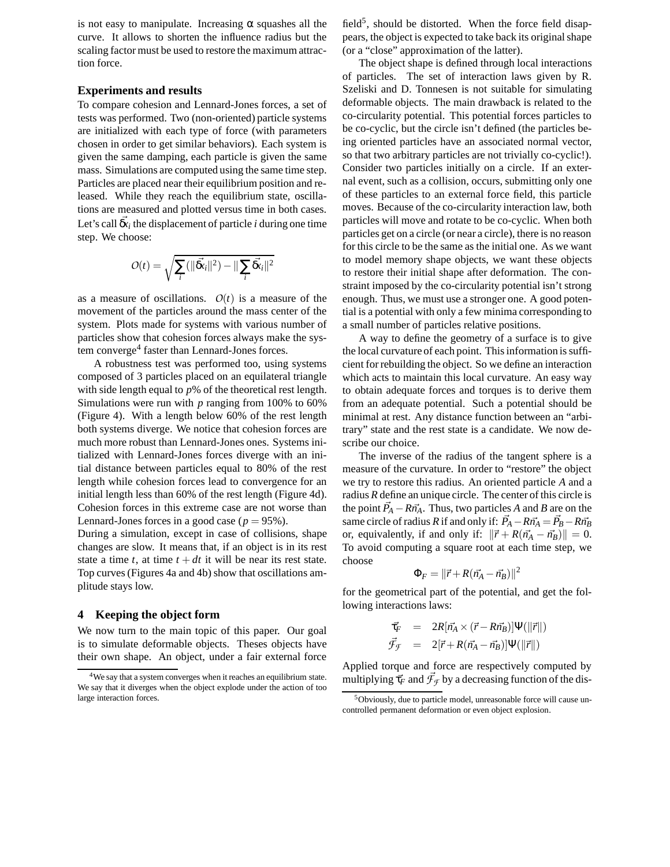is not easy to manipulate. Increasing  $\alpha$  squashes all the curve. It allows to shorten the influence radius but the scaling factor must be used to restore the maximum attraction force.

#### **Experiments and results**

To compare cohesion and Lennard-Jones forces, a set of tests was performed. Two (non-oriented) particle systems are initialized with each type of force (with parameters chosen in order to get similar behaviors). Each system is given the same damping, each particle is given the same mass. Simulations are computed using the same time step. Particles are placed near their equilibrium position and released. While they reach the equilibrium state, oscillations are measured and plotted versus time in both cases. Let's call  $\vec{\delta x}_i$  the displacement of particle *i* during one time step. We choose:

$$
O(t) = \sqrt{\sum_i (\|\vec{\mathbf{\Omega}}\cdot\vec{\mathbf{\Omega}}\cdot\|^2) - \|\sum_i \vec{\mathbf{\Omega}}\cdot\vec{\mathbf{\Omega}}\cdot\|^2}
$$

as a measure of oscillations.  $O(t)$  is a measure of the movement of the particles around the mass center of the system. Plots made for systems with various number of particles show that cohesion forces always make the system converge<sup>4</sup> faster than Lennard-Jones forces.

A robustness test was performed too, using systems composed of 3 particles placed on an equilateral triangle with side length equal to *p*% of the theoretical rest length. Simulations were run with *p* ranging from 100% to 60% (Figure 4). With a length below 60% of the rest length both systems diverge. We notice that cohesion forces are much more robust than Lennard-Jones ones. Systems initialized with Lennard-Jones forces diverge with an initial distance between particles equal to 80% of the rest length while cohesion forces lead to convergence for an initial length less than 60% of the rest length (Figure 4d). Cohesion forces in this extreme case are not worse than Lennard-Jones forces in a good case ( $p = 95\%$ ).

During a simulation, except in case of collisions, shape changes are slow. It means that, if an object is in its rest state a time  $t$ , at time  $t + dt$  it will be near its rest state. Top curves (Figures 4a and 4b) show that oscillations amplitude stays low.

# **4 Keeping the object form**

We now turn to the main topic of this paper. Our goal is to simulate deformable objects. Theses objects have their own shape. An object, under a fair external force

field<sup>5</sup>, should be distorted. When the force field disappears, the object is expected to take back its original shape (or a "close" approximation of the latter).

The object shape is defined through local interactions of particles. The set of interaction laws given by R. Szeliski and D. Tonnesen is not suitable for simulating deformable objects. The main drawback is related to the co-circularity potential. This potential forces particles to be co-cyclic, but the circle isn't defined (the particles being oriented particles have an associated normal vector, so that two arbitrary particles are not trivially co-cyclic!). Consider two particles initially on a circle. If an external event, such as a collision, occurs, submitting only one of these particles to an external force field, this particle moves. Because of the co-circularity interaction law, both particles will move and rotate to be co-cyclic. When both particles get on a circle (or near a circle), there is no reason for this circle to be the same as the initial one. As we want to model memory shape objects, we want these objects to restore their initial shape after deformation. The constraint imposed by the co-circularity potential isn't strong enough. Thus, we must use a stronger one. A good potential is a potential with only a few minima corresponding to a small number of particles relative positions.

A way to define the geometry of a surface is to give the local curvature of each point. This information is sufficient for rebuilding the object. So we define an interaction which acts to maintain this local curvature. An easy way to obtain adequate forces and torques is to derive them from an adequate potential. Such a potential should be minimal at rest. Any distance function between an "arbitrary" state and the rest state is a candidate. We now describe our choice.

The inverse of the radius of the tangent sphere is a measure of the curvature. In order to "restore" the object we try to restore this radius. An oriented particle *A* and a radius *R* define an unique circle. The center of this circle is the point  $\vec{P}_A - R\vec{n_A}$ . Thus, two particles *A* and *B* are on the same circle of radius *R* if and only if:  $\vec{P}_A - R\vec{n}_A = \vec{P}_B - R\vec{n}_B$ or, equivalently, if and only if:  $\|\vec{r} + R(\vec{n}_A - \vec{n}_B)\| = 0.$ To avoid computing a square root at each time step, we choose

$$
\Phi_F = \|\vec{r} + R(\vec{n_A} - \vec{n_B})\|^2
$$

for the geometrical part of the potential, and get the following interactions laws:

$$
\begin{array}{rcl}\n\vec{\tau_F} & = & 2R[\vec{n_A} \times (\vec{r} - R\vec{n_B})] \Psi(||\vec{r}||) \\
\vec{\mathcal{F}}_{\mathcal{F}} & = & 2[\vec{r} + R(\vec{n_A} - \vec{n_B})] \Psi(||\vec{r}||)\n\end{array}
$$

Applied torque and force are respectively computed by multiplying  $\vec{\tau}_F$  and  $\vec{\mathcal{F}}_f$  by a decreasing function of the dis-

<sup>&</sup>lt;sup>4</sup>We say that a system converges when it reaches an equilibrium state. We say that it diverges when the object explode under the action of too large interaction forces.

<sup>&</sup>lt;sup>5</sup>Obviously, due to particle model, unreasonable force will cause uncontrolled permanent deformation or even object explosion.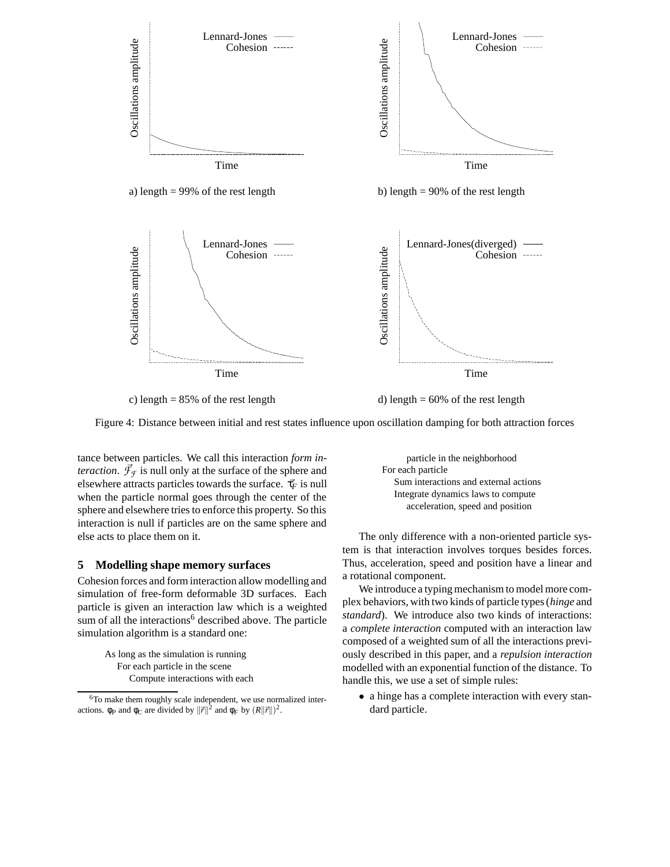

c) length  $= 85\%$  of the rest length d) length  $= 60\%$  of the rest length

Figure 4: Distance between initial and rest states influence upon oscillation damping for both attraction forces

tance between particles. We call this interaction *form interaction.*  $\vec{\mathcal{F}}_{\mathcal{F}}$  is null only at the surface of the sphere and elsewhere attracts particles towards the surface.  $\vec{\tau}_F$  is null when the particle normal goes through the center of the sphere and elsewhere tries to enforce this property. So this interaction is null if particles are on the same sphere and else acts to place them on it.

# **5 Modelling shape memory surfaces**

Cohesion forces and form interaction allow modelling and simulation of free-form deformable 3D surfaces. Each particle is given an interaction law which is a weighted sum of all the interactions<sup>6</sup> described above. The particle simulation algorithm is a standard one:

> As long as the simulation is running For each particle in the scene Compute interactions with each

particle in the neighborhood For each particle Sum interactions and external actions Integrate dynamics laws to compute acceleration, speed and position

The only difference with a non-oriented particle system is that interaction involves torques besides forces. Thus, acceleration, speed and position have a linear and a rotational component.

We introduce a typing mechanism to model more complex behaviors, with two kinds of particle types (*hinge* and *standard*). We introduce also two kinds of interactions: a *complete interaction* computed with an interaction law composed of a weighted sum of all the interactions previously described in this paper, and a *repulsion interaction* modelled with an exponential function of the distance. To handle this, we use a set of simple rules:

• a hinge has a complete interaction with every standard particle.

<sup>6</sup>To make them roughly scale independent, we use normalized interactions.  $\phi_P$  and  $\phi_C$  are divided by  $\|\vec{r}\|^2$  and  $\phi_F$  by  $(R\|\vec{r}\|)^2$ .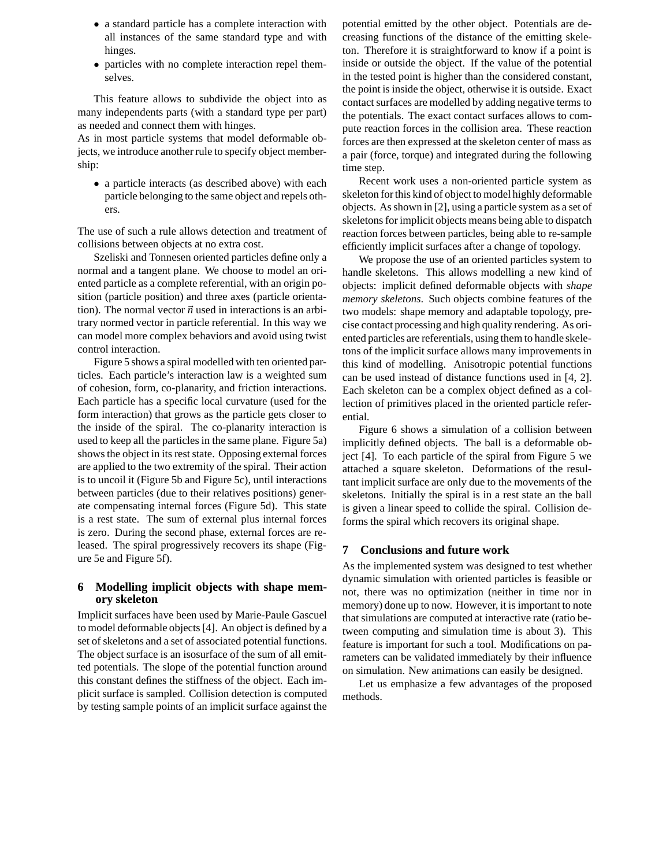- a standard particle has a complete interaction with all instances of the same standard type and with hinges.
- particles with no complete interaction repel themselves.

This feature allows to subdivide the object into as many independents parts (with a standard type per part) as needed and connect them with hinges.

As in most particle systems that model deformable objects, we introduce another rule to specify object membership:

• a particle interacts (as described above) with each particle belonging to the same object and repels others.

The use of such a rule allows detection and treatment of collisions between objects at no extra cost.

Szeliski and Tonnesen oriented particles define only a normal and a tangent plane. We choose to model an oriented particle as a complete referential, with an origin position (particle position) and three axes (particle orientation). The normal vector  $\vec{n}$  used in interactions is an arbitrary normed vector in particle referential. In this way we can model more complex behaviors and avoid using twist control interaction.

Figure 5 shows a spiral modelled with ten oriented particles. Each particle's interaction law is a weighted sum of cohesion, form, co-planarity, and friction interactions. Each particle has a specific local curvature (used for the form interaction) that grows as the particle gets closer to the inside of the spiral. The co-planarity interaction is used to keep all the particles in the same plane. Figure 5a) shows the object in its rest state. Opposing external forces are applied to the two extremity of the spiral. Their action is to uncoil it (Figure 5b and Figure 5c), until interactions between particles (due to their relatives positions) generate compensating internal forces (Figure 5d). This state is a rest state. The sum of external plus internal forces is zero. During the second phase, external forces are released. The spiral progressively recovers its shape (Figure 5e and Figure 5f).

# **6 Modelling implicit objects with shape memory skeleton**

Implicit surfaces have been used by Marie-Paule Gascuel to model deformable objects [4]. An object is defined by a set of skeletons and a set of associated potential functions. The object surface is an isosurface of the sum of all emitted potentials. The slope of the potential function around this constant defines the stiffness of the object. Each implicit surface is sampled. Collision detection is computed by testing sample points of an implicit surface against the potential emitted by the other object. Potentials are decreasing functions of the distance of the emitting skeleton. Therefore it is straightforward to know if a point is inside or outside the object. If the value of the potential in the tested point is higher than the considered constant, the point is inside the object, otherwise it is outside. Exact contact surfaces are modelled by adding negative terms to the potentials. The exact contact surfaces allows to compute reaction forces in the collision area. These reaction forces are then expressed at the skeleton center of mass as a pair (force, torque) and integrated during the following time step.

Recent work uses a non-oriented particle system as skeleton for this kind of object to model highly deformable objects. As shown in [2], using a particle system as a set of skeletons for implicit objects means being able to dispatch reaction forces between particles, being able to re-sample efficiently implicit surfaces after a change of topology.

We propose the use of an oriented particles system to handle skeletons. This allows modelling a new kind of objects: implicit defined deformable objects with *shape memory skeletons*. Such objects combine features of the two models: shape memory and adaptable topology, precise contact processing and high quality rendering. As oriented particles are referentials, using them to handle skeletons of the implicit surface allows many improvements in this kind of modelling. Anisotropic potential functions can be used instead of distance functions used in [4, 2]. Each skeleton can be a complex object defined as a collection of primitives placed in the oriented particle referential.

Figure 6 shows a simulation of a collision between implicitly defined objects. The ball is a deformable object [4]. To each particle of the spiral from Figure 5 we attached a square skeleton. Deformations of the resultant implicit surface are only due to the movements of the skeletons. Initially the spiral is in a rest state an the ball is given a linear speed to collide the spiral. Collision deforms the spiral which recovers its original shape.

# **7 Conclusions and future work**

As the implemented system was designed to test whether dynamic simulation with oriented particles is feasible or not, there was no optimization (neither in time nor in memory) done up to now. However, it is important to note that simulations are computed at interactive rate (ratio between computing and simulation time is about 3). This feature is important for such a tool. Modifications on parameters can be validated immediately by their influence on simulation. New animations can easily be designed.

Let us emphasize a few advantages of the proposed methods.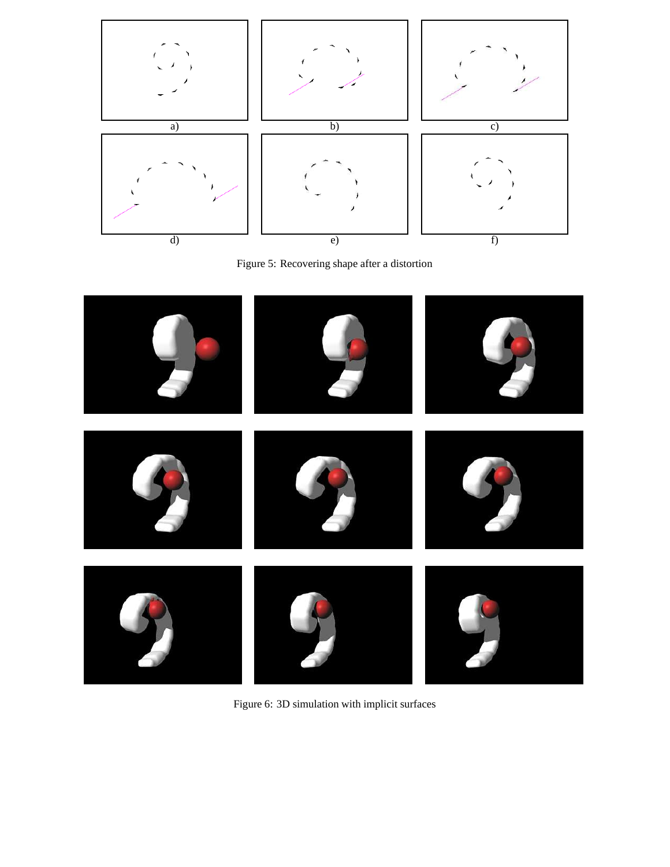

Figure 5: Recovering shape after a distortion



Figure 6: 3D simulation with implicit surfaces